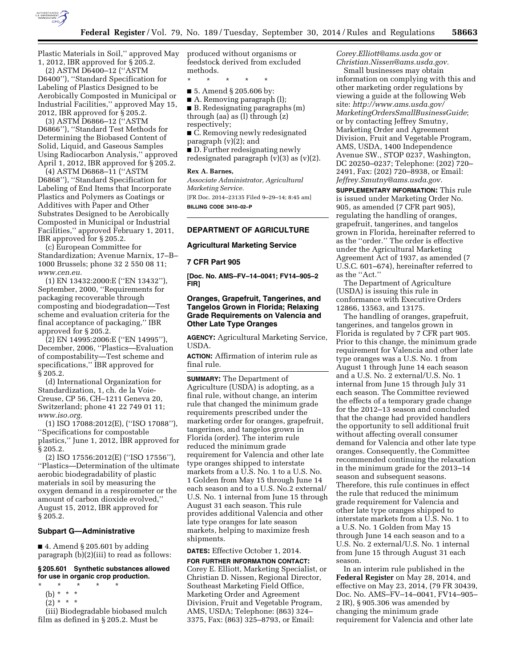

Plastic Materials in Soil,'' approved May 1, 2012, IBR approved for § 205.2.

(2) ASTM D6400–12 (''ASTM D6400''), ''Standard Specification for Labeling of Plastics Designed to be Aerobically Composted in Municipal or Industrial Facilities,'' approved May 15, 2012, IBR approved for § 205.2.

(3) ASTM D6866–12 (''ASTM D6866''), ''Standard Test Methods for Determining the Biobased Content of Solid, Liquid, and Gaseous Samples Using Radiocarbon Analysis,'' approved April 1, 2012, IBR approved for § 205.2.

(4) ASTM D6868–11 (''ASTM D6868''), ''Standard Specification for Labeling of End Items that Incorporate Plastics and Polymers as Coatings or Additives with Paper and Other Substrates Designed to be Aerobically Composted in Municipal or Industrial Facilities,'' approved February 1, 2011, IBR approved for § 205.2.

(c) European Committee for Standardization; Avenue Marnix, 17–B– 1000 Brussels; phone 32 2 550 08 11; *[www.cen.eu.](http://www.cen.eu)* 

(1) EN 13432:2000:E (''EN 13432''), September, 2000, ''Requirements for packaging recoverable through composting and biodegradation—Test scheme and evaluation criteria for the final acceptance of packaging,'' IBR approved for § 205.2.

(2) EN 14995:2006:E (''EN 14995''), December, 2006, ''Plastics—Evaluation of compostability—Test scheme and specifications,'' IBR approved for § 205.2.

(d) International Organization for Standardization, 1, ch. de la Voie-Creuse, CP 56, CH–1211 Geneva 20, Switzerland; phone 41 22 749 01 11; *[www.iso.org.](http://www.iso.org)* 

(1) ISO 17088:2012(E), (''ISO 17088''), ''Specifications for compostable plastics,'' June 1, 2012, IBR approved for § 205.2.

(2) ISO 17556:2012(E) (''ISO 17556''), ''Plastics—Determination of the ultimate aerobic biodegradability of plastic materials in soil by measuring the oxygen demand in a respirometer or the amount of carbon dioxide evolved,'' August 15, 2012, IBR approved for § 205.2.

## **Subpart G—Administrative**

 $\blacksquare$  4. Amend § 205.601 by adding paragraph (b)(2)(iii) to read as follows:

**§ 205.601 Synthetic substances allowed for use in organic crop production.** 

- \* \* \* \* \*
	- (b) \* \* \*  $(2) * * * *$
	-

(iii) Biodegradable biobased mulch film as defined in § 205.2. Must be

produced without organisms or feedstock derived from excluded methods.

\* \* \* \* \*

- 5. Amend § 205.606 by:
- A. Removing paragraph (1);

■ B. Redesignating paragraphs (m) through (aa) as (l) through (z) respectively;

■ C. Removing newly redesignated paragraph (v)(2); and

■ D. Further redesignating newly redesignated paragraph (v)(3) as (v)(2).

## **Rex A. Barnes,**

*Associate Administrator, Agricultural Marketing Service.* 

[FR Doc. 2014–23135 Filed 9–29–14; 8:45 am] **BILLING CODE 3410–02–P** 

## **DEPARTMENT OF AGRICULTURE**

## **Agricultural Marketing Service**

### **7 CFR Part 905**

**[Doc. No. AMS–FV–14–0041; FV14–905–2 FIR]** 

## **Oranges, Grapefruit, Tangerines, and Tangelos Grown in Florida; Relaxing Grade Requirements on Valencia and Other Late Type Oranges**

**AGENCY:** Agricultural Marketing Service, USDA.

**ACTION:** Affirmation of interim rule as final rule.

**SUMMARY:** The Department of Agriculture (USDA) is adopting, as a final rule, without change, an interim rule that changed the minimum grade requirements prescribed under the marketing order for oranges, grapefruit, tangerines, and tangelos grown in Florida (order). The interim rule reduced the minimum grade requirement for Valencia and other late type oranges shipped to interstate markets from a U.S. No. 1 to a U.S. No. 1 Golden from May 15 through June 14 each season and to a U.S. No.2 external/ U.S. No. 1 internal from June 15 through August 31 each season. This rule provides additional Valencia and other late type oranges for late season markets, helping to maximize fresh shipments.

# **DATES:** Effective October 1, 2014.

**FOR FURTHER INFORMATION CONTACT:**  Corey E. Elliott, Marketing Specialist, or Christian D. Nissen, Regional Director, Southeast Marketing Field Office, Marketing Order and Agreement Division, Fruit and Vegetable Program, AMS, USDA; Telephone: (863) 324– 3375, Fax: (863) 325–8793, or Email:

*[Corey.Elliott@ams.usda.gov](mailto:Corey.Elliott@ams.usda.gov)* or *[Christian.Nissen@ams.usda.gov.](mailto:Christian.Nissen@ams.usda.gov)* 

Small businesses may obtain information on complying with this and other marketing order regulations by viewing a guide at the following Web site: *[http://www.ams.usda.gov/](http://www.ams.usda.gov/MarketingOrdersSmallBusinessGuide)  [MarketingOrdersSmallBusinessGuide](http://www.ams.usda.gov/MarketingOrdersSmallBusinessGuide)*; or by contacting Jeffrey Smutny, Marketing Order and Agreement Division, Fruit and Vegetable Program, AMS, USDA, 1400 Independence Avenue SW., STOP 0237, Washington, DC 20250–0237; Telephone: (202) 720– 2491, Fax: (202) 720–8938, or Email: *[Jeffrey.Smutny@ams.usda.gov.](mailto:Jeffrey.Smutny@ams.usda.gov)* 

**SUPPLEMENTARY INFORMATION:** This rule is issued under Marketing Order No. 905, as amended (7 CFR part 905), regulating the handling of oranges, grapefruit, tangerines, and tangelos grown in Florida, hereinafter referred to as the ''order.'' The order is effective under the Agricultural Marketing Agreement Act of 1937, as amended (7 U.S.C. 601–674), hereinafter referred to as the ''Act.''

The Department of Agriculture (USDA) is issuing this rule in conformance with Executive Orders 12866, 13563, and 13175.

The handling of oranges, grapefruit, tangerines, and tangelos grown in Florida is regulated by 7 CFR part 905. Prior to this change, the minimum grade requirement for Valencia and other late type oranges was a U.S. No. 1 from August 1 through June 14 each season and a U.S. No. 2 external/U.S. No. 1 internal from June 15 through July 31 each season. The Committee reviewed the effects of a temporary grade change for the 2012–13 season and concluded that the change had provided handlers the opportunity to sell additional fruit without affecting overall consumer demand for Valencia and other late type oranges. Consequently, the Committee recommended continuing the relaxation in the minimum grade for the 2013–14 season and subsequent seasons. Therefore, this rule continues in effect the rule that reduced the minimum grade requirement for Valencia and other late type oranges shipped to interstate markets from a U.S. No. 1 to a U.S. No. 1 Golden from May 15 through June 14 each season and to a U.S. No. 2 external/U.S. No. 1 internal from June 15 through August 31 each season.

In an interim rule published in the **Federal Register** on May 28, 2014, and effective on May 23, 2014, (79 FR 30439, Doc. No. AMS–FV–14–0041, FV14–905– 2 IR), § 905.306 was amended by changing the minimum grade requirement for Valencia and other late